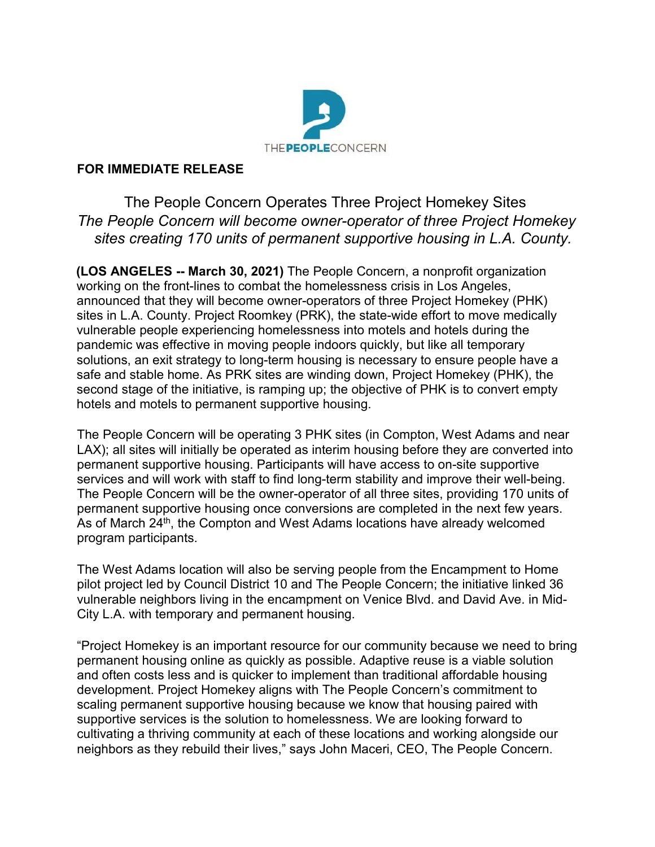

## **FOR IMMEDIATE RELEASE**

The People Concern Operates Three Project Homekey Sites *The People Concern will become owner-operator of three Project Homekey sites creating 170 units of permanent supportive housing in L.A. County.*

**(LOS ANGELES -- March 30, 2021)** The People Concern, a nonprofit organization working on the front-lines to combat the homelessness crisis in Los Angeles, announced that they will become owner-operators of three Project Homekey (PHK) sites in L.A. County. Project Roomkey (PRK), the state-wide effort to move medically vulnerable people experiencing homelessness into motels and hotels during the pandemic was effective in moving people indoors quickly, but like all temporary solutions, an exit strategy to long-term housing is necessary to ensure people have a safe and stable home. As PRK sites are winding down, Project Homekey (PHK), the second stage of the initiative, is ramping up; the objective of PHK is to convert empty hotels and motels to permanent supportive housing.

The People Concern will be operating 3 PHK sites (in Compton, West Adams and near LAX); all sites will initially be operated as interim housing before they are converted into permanent supportive housing. Participants will have access to on-site supportive services and will work with staff to find long-term stability and improve their well-being. The People Concern will be the owner-operator of all three sites, providing 170 units of permanent supportive housing once conversions are completed in the next few years. As of March 24<sup>th</sup>, the Compton and West Adams locations have already welcomed program participants.

The West Adams location will also be serving people from the Encampment to Home pilot project led by Council District 10 and The People Concern; the initiative linked 36 vulnerable neighbors living in the encampment on Venice Blvd. and David Ave. in Mid-City L.A. with temporary and permanent housing.

"Project Homekey is an important resource for our community because we need to bring permanent housing online as quickly as possible. Adaptive reuse is a viable solution and often costs less and is quicker to implement than traditional affordable housing development. Project Homekey aligns with The People Concern's commitment to scaling permanent supportive housing because we know that housing paired with supportive services is the solution to homelessness. We are looking forward to cultivating a thriving community at each of these locations and working alongside our neighbors as they rebuild their lives," says John Maceri, CEO, The People Concern.